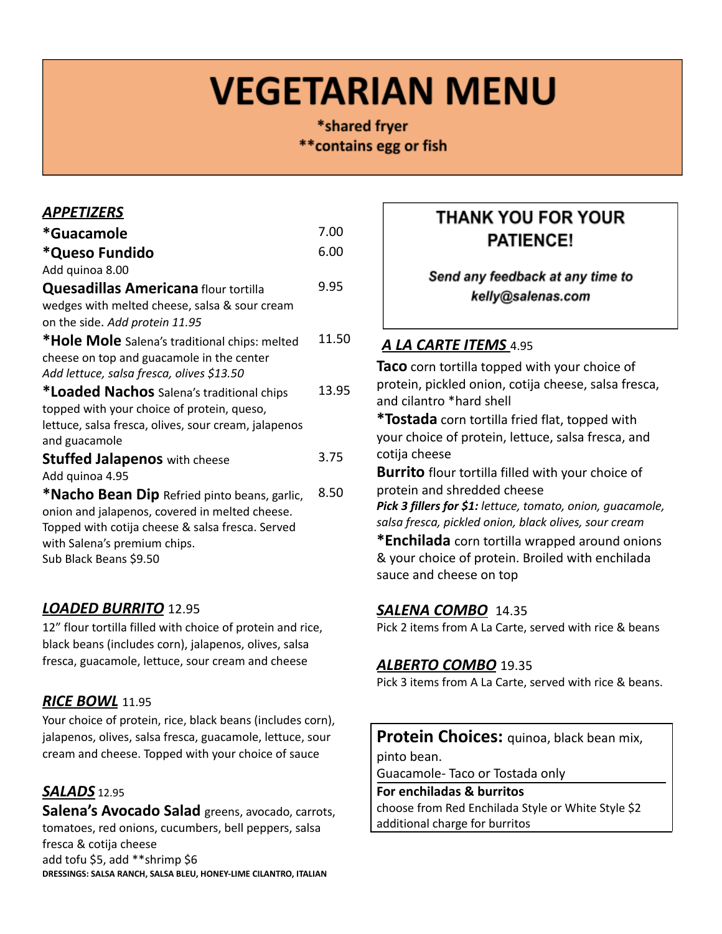# **VEGETARIAN MENU**

\*shared fryer \*\* contains egg or fish

#### *APPETIZERS*

| *Guacamole                                           | 7.00  |
|------------------------------------------------------|-------|
| *Queso Fundido                                       | 6.00  |
| Add quinoa 8.00                                      |       |
| <b>Quesadillas Americana</b> flour tortilla          | 9.95  |
| wedges with melted cheese, salsa & sour cream        |       |
| on the side. Add protein 11.95                       |       |
| *Hole Mole Salena's traditional chips: melted        | 11.50 |
| cheese on top and guacamole in the center            |       |
| Add lettuce, salsa fresca, olives \$13.50            |       |
| *Loaded Nachos Salena's traditional chips            | 13.95 |
| topped with your choice of protein, queso,           |       |
| lettuce, salsa fresca, olives, sour cream, jalapenos |       |
| and guacamole                                        |       |
| <b>Stuffed Jalapenos</b> with cheese                 | 3.75  |
| Add quinoa 4.95                                      |       |
| *Nacho Bean Dip Refried pinto beans, garlic,         | 8.50  |
| onion and jalapenos, covered in melted cheese.       |       |
| Topped with cotija cheese & salsa fresca. Served     |       |
| with Salena's premium chips.                         |       |
| Sub Black Beans \$9.50                               |       |
|                                                      |       |

### *LOADED BURRITO* 12.95

12" flour tortilla filled with choice of protein and rice, black beans (includes corn), jalapenos, olives, salsa fresca, guacamole, lettuce, sour cream and cheese

### *RICE BOWL* 11.95

Your choice of protein, rice, black beans (includes corn), jalapenos, olives, salsa fresca, guacamole, lettuce, sour cream and cheese. Topped with your choice of sauce

# *SALADS* 12.95

**Salena's Avocado Salad** greens, avocado, carrots, tomatoes, red onions, cucumbers, bell peppers, salsa fresca & cotija cheese add tofu \$5, add \*\*shrimp \$6 **DRESSINGS: SALSA RANCH, SALSA BLEU, HONEY-LIME CILANTRO, ITALIAN**

# **THANK YOU FOR YOUR PATIENCE!**

Send any feedback at any time to kelly@salenas.com

# *A LA CARTE ITEMS* 4.95

**Taco** corn tortilla topped with your choice of protein, pickled onion, cotija cheese, salsa fresca, and cilantro \*hard shell

**\*Tostada** corn tortilla fried flat, topped with your choice of protein, lettuce, salsa fresca, and cotija cheese

**Burrito** flour tortilla filled with your choice of protein and shredded cheese

*Pick 3 fillers for \$1: lettuce, tomato, onion, guacamole, salsa fresca, pickled onion, black olives, sour cream*

**\*Enchilada** corn tortilla wrapped around onions & your choice of protein. Broiled with enchilada sauce and cheese on top

### *SALENA COMBO* 14.35

Pick 2 items from A La Carte, served with rice & beans

### *ALBERTO COMBO* 19.35

Pick 3 items from A La Carte, served with rice & beans.

**Protein Choices:** quinoa, black bean mix,

pinto bean.

Guacamole- Taco or Tostada only

#### **For enchiladas & burritos**

choose from Red Enchilada Style or White Style \$2 additional charge for burritos